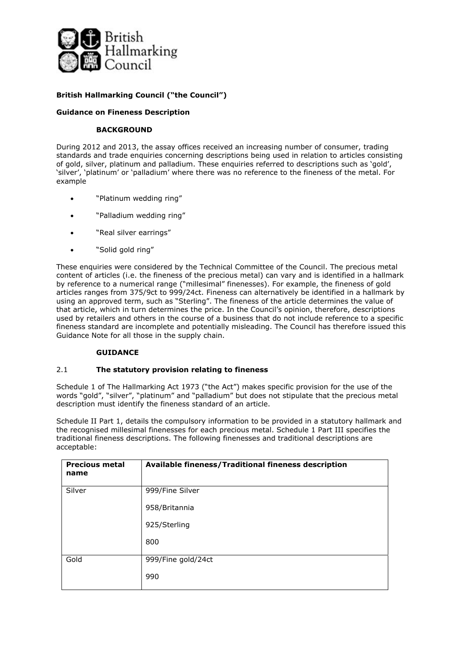

# **British Hallmarking Council ("the Council")**

## **Guidance on Fineness Description**

### **BACKGROUND**

During 2012 and 2013, the assay offices received an increasing number of consumer, trading standards and trade enquiries concerning descriptions being used in relation to articles consisting of gold, silver, platinum and palladium. These enquiries referred to descriptions such as 'gold', 'silver', 'platinum' or 'palladium' where there was no reference to the fineness of the metal. For example

- "Platinum wedding ring"
- "Palladium wedding ring"
- "Real silver earrings"
- "Solid gold ring"

These enquiries were considered by the Technical Committee of the Council. The precious metal content of articles (i.e. the fineness of the precious metal) can vary and is identified in a hallmark by reference to a numerical range ("millesimal" finenesses). For example, the fineness of gold articles ranges from 375/9ct to 999/24ct. Fineness can alternatively be identified in a hallmark by using an approved term, such as "Sterling". The fineness of the article determines the value of that article, which in turn determines the price. In the Council's opinion, therefore, descriptions used by retailers and others in the course of a business that do not include reference to a specific fineness standard are incomplete and potentially misleading. The Council has therefore issued this Guidance Note for all those in the supply chain.

### **GUIDANCE**

### 2.1 **The statutory provision relating to fineness**

Schedule 1 of The Hallmarking Act 1973 ("the Act") makes specific provision for the use of the words "gold", "silver", "platinum" and "palladium" but does not stipulate that the precious metal description must identify the fineness standard of an article.

Schedule II Part 1, details the compulsory information to be provided in a statutory hallmark and the recognised millesimal finenesses for each precious metal. Schedule 1 Part III specifies the traditional fineness descriptions. The following finenesses and traditional descriptions are acceptable:

| <b>Precious metal</b><br>name | Available fineness/Traditional fineness description |
|-------------------------------|-----------------------------------------------------|
| Silver                        | 999/Fine Silver                                     |
|                               | 958/Britannia                                       |
|                               | 925/Sterling                                        |
|                               | 800                                                 |
| Gold                          | 999/Fine gold/24ct                                  |
|                               | 990                                                 |